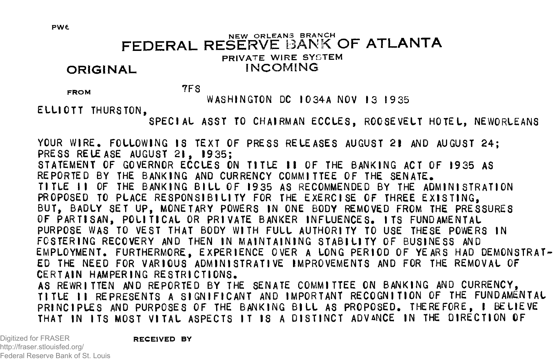# NEW ORLEANS BRANCH **FEDERAL RESERVE** BANK **OF ATLANTA** PRIVATE WIRE SYSTEM<br>INCOMING **ORIGINAL**

FROM TFS

**WASHINGTON DC I034A NOV 13 1935**

**ELLIOTT THURSTON,**

**SPECIAL ASST TO CHAIRMAN ECCLES, ROOSEVELT HOTEL, NEWORLEANS**

**YOUR WIRE. FOLLOWING IS TEXT OF PRESS RELEASES AUGUST 21 AND AUGUST 24; PRESS RELEASE AUGUST 21 , 1935; STATEMENT OF GOVERNOR ECCLES ON TITLE I I OF THE BANKING ACT OF 1935 AS REPORTED BY THE BANKING AND CURRENCY COMMITTEE OF THE SENATE. TITLE I I OF THE BANKING B IL L OF 1935 AS RECOMMENDED BY THE ADMINISTRATION** PROPOSED TO PLACE RESPONSIBILITY FOR THE EXERCISE OF THREE EXISTING. **BUT, BADLY SET UP, MONETARY POWERS IN ONE BODY REMOVED FROM THE PRESSURES OF PARTISAN, POLITICAL OR PRIVATE BANKER INFLUENCES. ITS FUNDAMENTAL PURPOSE WAS TO VEST THAT BODY WITH FULL AUTHORITY TO USE THESE POWERS IN** FOSTERING RECOVERY AND THEN IN MAINTAINING STABILITY OF BUSINESS AND **EMPLOYMENT. FURTHERMORE, EXPERIENCE OVER A LONG PERIOD OF YEARS HAD DEMONSTRAT-ED THE NEED FOR VARIOUS ADMINISTRATIVE IMPROVEMENTS AND FOR THE REMOVAL OF CERTAIN HAMPERING RESTRICTIONS. AS REWRITTEN AND REPORTED BY THE SENATE COMMITTEE ON BANKING AND CURRENCY,** TITLE II REPRESENTS A SIGNIFICANT AND IMPORTANT RECOGNITION OF THE FUNDAMENTAL PRINCIPLES AND PURPOSES OF THE BANKING BILL AS PROPOSED. THEREFORE, I BELIEVE **THAT IN ITS MOST VITAL ASPECTS IT IS A DISTINCT ADVANCE IN THE DIRECTION OF**

Digitized for FRASER http://fraser.stlouisfed.org/ Federal Reserve Bank of St. Louis **RECEIVED BY**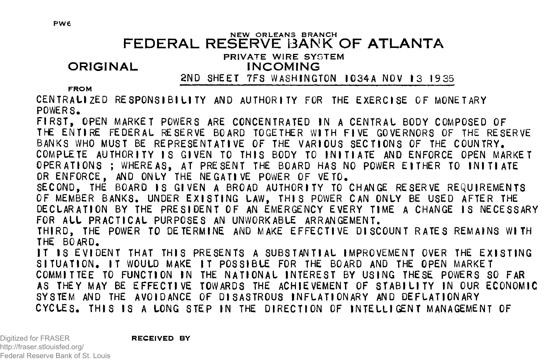#### NEW ORLEANS BRANCH **FEDERAL RESERVE BANK OF ATLANTA**

## PRIVATE WIRE SYSTEM

# **ORIGINAL INCOMING**

**2ND SHEET 7FS WASHINGTON I034A NOV 13 19 35**

#### FROM

**CENTRALIZED RESPONSIBILITY AND AUTHORITY FOR THE EXERCISE OF MONETARY POWERS.**

**FIRST, OPEN MARKET POWERS ARE CONCENTRATED IN A CENTRAL BODY COMPOSED OF THE ENTIRE FEDERAL RESERVE BOARD TOGETHER WITH FIVE GOVERNORS OF THE RESERVE BANKS WHO MUST BE REPRESENTATIVE OF THE VARIOUS SECTIONS OF THE COUNTRY. COMPLETE AUTHORITY IS GIVEN TO THIS BODY TO INITIATE AND ENFORCE OPEN MARKET OPERATIONS: WHEREAS, AT PRESENT THE BOARD HAS NO POWER EITHER TO INITIATE OR ENFORCE, AND ONLY THE NEGATIVE POWER OF VETO.** SECOND, THE BOARD IS GIVEN A BROAD AUTHORITY TO CHANGE RESERVE REQUIREMENTS OF MEMBER BANKS. UNDER EXISTING LAW, THIS POWER CAN ONLY BE USED AFTER THE **DECLARATION BY THE PRESIDENT OF AN EMERGENCY EVERY TIME A CHANGE IS NECESSARY FOR ALL PRACTICAL PURPOSES AN UNWORKABLE ARRANGEMENT. THIRD, THE POWER TO DETERMINE AND MAKE EFFECTIVE DISCOUNT RATES REMAINS WITH THE BOARD. IT IS EVIDENT THAT THIS PRESENTS A SUBSTANTIAL IMPROVEMENT OVER THE EXISTING SITUATION. IT WOULD MAKE IT POSSIBLE FOR THE BOARD AND THE OPEN MARKET COMMITTEE TO FUNCTION IN THE NATIONAL INTEREST BY USING THESE POWERS SO FAR** AS THEY MAY BE EFFECTIVE TOWARDS THE ACHIEVEMENT OF STABILITY IN OUR ECONOMIC **SYSTEM AND THE AVOIDANCE OF DISASTROUS INFLATIONARY AND DEFLATIONARY CYCLES. THIS IS A LONG STEP IN THE DIRECTION OF INTELLIGENT MANAGEMENT OF**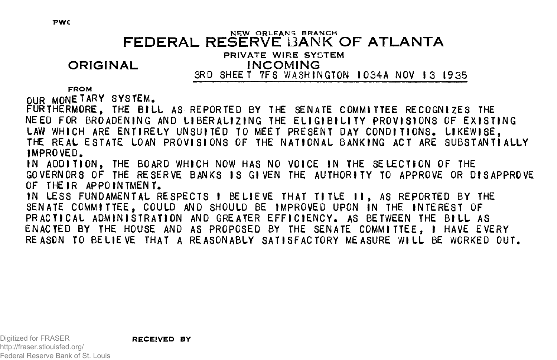#### NEW ORLEANS BRANCH **FEDERAL RESERVE BANK OF ATLANTA**

# PRIVATE WIRE SYGTEM

# **ORIGINAL INCOMING**

**3RD SHEET 7FS WASHINGTON 1034A NOV 13 1935** 

#### FROM

**OUR MONETARY SYSTEM.**

FURTHERMORE, THE BILL AS REPORTED BY THE SENATE COMMITTEE RECOGNIZES THE NEED FOR BROADENING AND LIBERALIZING THE ELIGIBILITY PROVISIONS OF EXISTING **LAW WHICH ARE ENTIRELY UNSUITED TO MEET PRESENT DAY CONDITIONS. LIKEWISE, THE REAL ESTATE LOAN PROVISIONS OF THE NATIONAL BANKING ACT ARE SUBSTANTIALLY IMPROVED.**

**IN ADDITION, THE BOARD WHICH NOW HAS NO VOICE IN THE SELECTION OF THE GOVERNORS OF THE RESERVE BANKS IS GIVEN THE AUTHORITY TO APPROVE OR DISAPPROVE OF THEIR APPOINTMENT.**

IN LESS FUNDAMENTAL RESPECTS I BELIEVE THAT TITLE **II, AS REPORTED BY THE SENATE COMMITTEE, COULD AND SHOULD BE IMPROVED UPON IN THE INTEREST OF** PRACTICAL ADMINISTRATION AND GREATER EFFICIENCY. AS BETWEEN THE BILL AS **ENACTED BY THE HOUSE AND AS PROPOSED BY THE SENATE COMMITTEE, I HAVE EVERY REASON TO BELIEVE THAT A REASONABLY SATISFACTORY MEASURE WILL BE WORKED OUT.**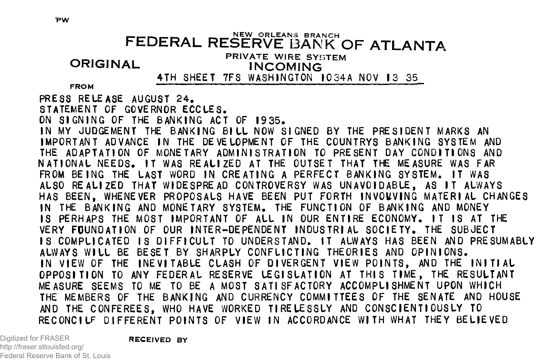# \_ \_ \_ \_ \_ . \_\_ NEW O RLEANS BRANCH **FEDERAL RESERVE** BANK **O F ATLANTA**

**ORIGINAL** PRIVATE WIRE SYSTEM **INCOMING** 

**4TH SHEET 7FS WASHINGTON IO34A NOV 13 35** 

**PRESS RELEASE AUGUST 24. STATEMENT OF GOVERNOR ECCLES. ON SIGNIN G OF THE BANKING ACT OF 1935.** IN MY JUDGEMENT THE BANKING BILL NOW SIGNED BY THE PRESIDENT MARKS AN **IMPORTANT ADVANCE IN THE DEVELOPMENT OF THE COUNTRYS BANKING SYSTEM AND THE ADAPTATION OF MONETARY ADMINISTRATION TO PRESENT DAY CONDITIONS AND NATIONAL NEEDS. IT WAS REALIZED AT THE OUTSET THAT THE MEASURE WAS FAR FROM BEING THE LAST WORD IN CREATING A PERFECT BANKING SYSTEM. IT WAS ALSO REALIZED THAT WIDESPREAD CONTROVERSY WAS UNAVOIDABLE, AS IT ALWAYS HAS BEEN, WHENEVER PROPOSALS HAVE BEEN PUT FORTH INVOUVING MATERIAL CHANGES IN THE BANKING AND MONETARY SYSTEM. THE FUNCTION OF BANKING AND MONEY IS PERHAPS THE MOST IMPORTANT OF ALL IN OUR ENTIRE ECONOMY. IT IS AT THE VERY FOUNDATION OF OUR INTER-DEPENDENT INDUSTRIAL SOCIETY. THE SUBJECT IS COMPLICATED IS DIFFICULT TO UNDERSTAND. IT ALWAYS HAS BEEN AND PRESUMABLY ALWAYS WILL BE BESET BY SHARPLY CONFLICTING THEORIES AND OPINIONS. IN VIEW OF THE INEVITABLE CLASH OF DIVERGENT VIEW POINTS, AND THE INITIAL OPPOSITION TO ANY FEDERAL RESERVE LEGISLATION AT THIS TIME, THE RESULTANT MEASURE SEEMS TO ME TO BE A MOST SATISFACTORY ACCOMPLISHMENT UPON WHICH THE MEMBERS OF THE BANKING AND CURRENCY COMMITTEES OF THE SENATE AND HOUSE AND THE CONFEREES, WHO HAVE WORKED TIRELESSLY AND CONSCIENTIOUSLY TO RECONCILE DIFFERENT POINTS OF VIEW IN ACCORDANCE WITH WHAT THEY BELIEVED**

Digitized for FRASER http://fraser.stlouisfed.org/ Federal Reserve Bank of St. Louis **RECEIVED BY**